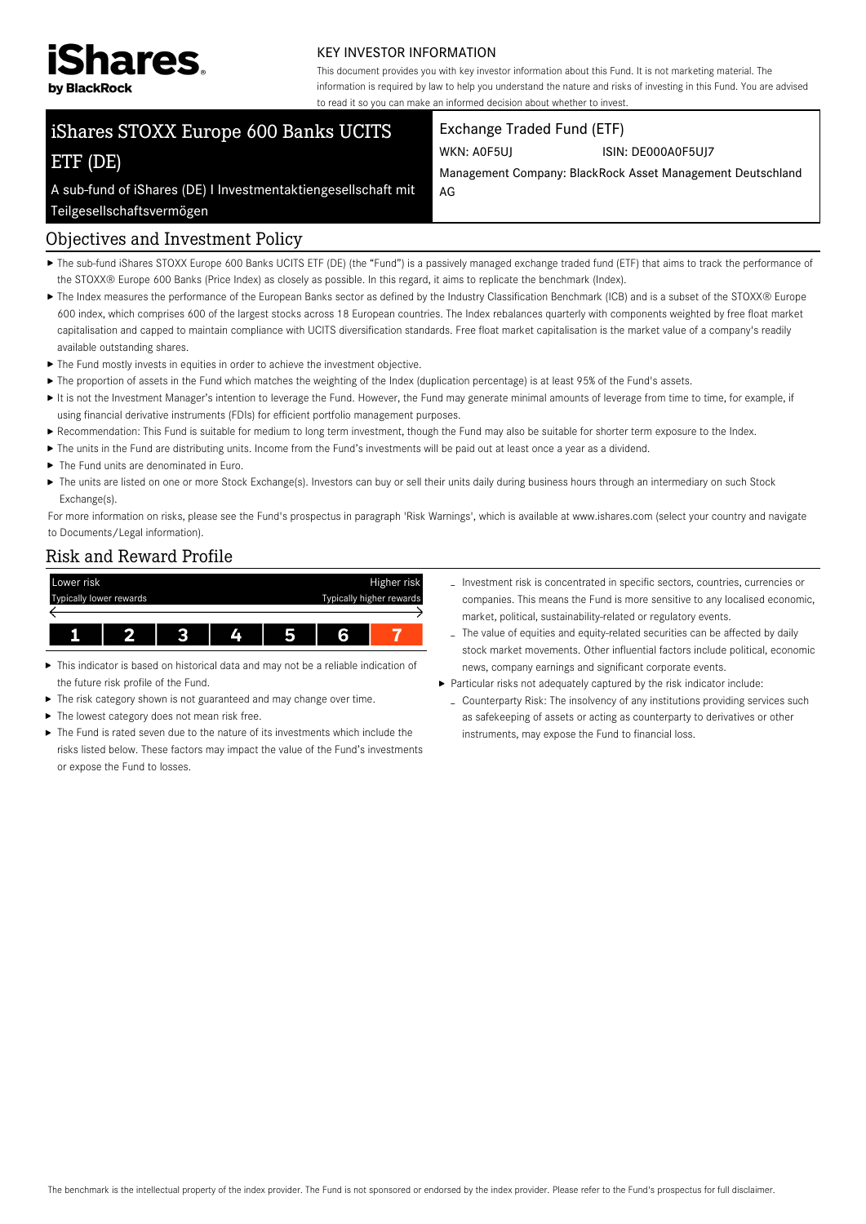

#### KEY INVESTOR INFORMATION

This document provides you with key investor information about this Fund. It is not marketing material. The information is required by law to help you understand the nature and risks of investing in this Fund. You are advised to read it so you can make an informed decision about whether to invest.

# iShares STOXX Europe 600 Banks UCITS ETF (DE)

#### Exchange Traded Fund (ETF)

WKN: A0F5UJ ISIN: DE000A0F5UJ7

Management Company: BlackRock Asset Management Deutschland AG

A sub-fund of iShares (DE) I Investmentaktiengesellschaft mit

# Teilgesellschaftsvermögen

#### Objectives and Investment Policy

- ▶ The sub-fund iShares STOXX Europe 600 Banks UCITS ETF (DE) (the "Fund") is a passively managed exchange traded fund (ETF) that aims to track the performance of the STOXX® Europe 600 Banks (Price Index) as closely as possible. In this regard, it aims to replicate the benchmark (Index).
- ▶ The Index measures the performance of the European Banks sector as defined by the Industry Classification Benchmark (ICB) and is a subset of the STOXX® Europe 600 index, which comprises 600 of the largest stocks across 18 European countries. The Index rebalances quarterly with components weighted by free float market capitalisation and capped to maintain compliance with UCITS diversification standards. Free float market capitalisation is the market value of a company's readily available outstanding shares.
- $\blacktriangleright$  The Fund mostly invests in equities in order to achieve the investment objective.
- ▶ The proportion of assets in the Fund which matches the weighting of the Index (duplication percentage) is at least 95% of the Fund's assets.
- It is not the Investment Manager's intention to leverage the Fund. However, the Fund may generate minimal amounts of leverage from time to time, for example, if using financial derivative instruments (FDIs) for efficient portfolio management purposes.
- Recommendation: This Fund is suitable for medium to long term investment, though the Fund may also be suitable for shorter term exposure to the Index.
- The units in the Fund are distributing units. Income from the Fund's investments will be paid out at least once a year as a dividend.
- $\blacktriangleright$  The Fund units are denominated in Euro.
- ▶ The units are listed on one or more Stock Exchange(s). Investors can buy or sell their units daily during business hours through an intermediary on such Stock Exchange(s).

For more information on risks, please see the Fund's prospectus in paragraph 'Risk Warnings', which is available at www.ishares.com (select your country and navigate to Documents/Legal information).

#### Risk and Reward Profile



- This indicator is based on historical data and may not be a reliable indication of the future risk profile of the Fund.
- $\blacktriangleright$  The risk category shown is not guaranteed and may change over time.
- $\blacktriangleright$  The lowest category does not mean risk free.
- The Fund is rated seven due to the nature of its investments which include the risks listed below. These factors may impact the value of the Fund's investments or expose the Fund to losses.
- Investment risk is concentrated in specific sectors, countries, currencies or companies. This means the Fund is more sensitive to any localised economic, market, political, sustainability-related or regulatory events.
- The value of equities and equity-related securities can be affected by daily stock market movements. Other influential factors include political, economic news, company earnings and significant corporate events.
- Particular risks not adequately captured by the risk indicator include:
	- Counterparty Risk: The insolvency of any institutions providing services such as safekeeping of assets or acting as counterparty to derivatives or other instruments, may expose the Fund to financial loss.